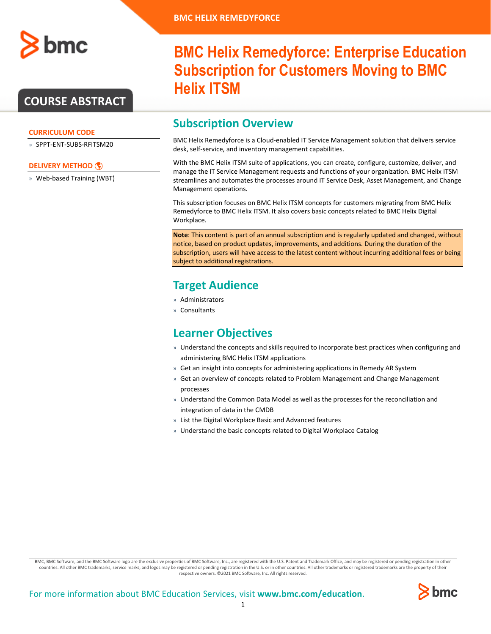

### **COURSE ABSTRACT**

#### **CURRICULUM CODE**

» SPPT-ENT-SUBS-RFITSM20

#### **[DELIVERY METHOD](http://www.bmc.com/education/modality.html)**

» Web-based Training (WBT)

# **BMC Helix Remedyforce: Enterprise Education Subscription for Customers Moving to BMC Helix ITSM**

### **Subscription Overview**

BMC Helix Remedyforce is a Cloud-enabled IT Service Management solution that delivers service desk, self-service, and inventory management capabilities.

With the BMC Helix ITSM suite of applications, you can create, configure, customize, deliver, and manage the IT Service Management requests and functions of your organization. BMC Helix ITSM streamlines and automates the processes around IT Service Desk, Asset Management, and Change Management operations.

This subscription focuses on BMC Helix ITSM concepts for customers migrating from BMC Helix Remedyforce to BMC Helix ITSM. It also covers basic concepts related to BMC Helix Digital Workplace.

**Note**: This content is part of an annual subscription and is regularly updated and changed, without notice, based on product updates, improvements, and additions. During the duration of the subscription, users will have access to the latest content without incurring additional fees or being subject to additional registrations.

### **Target Audience**

- » Administrators
- » Consultants

### **Learner Objectives**

- » Understand the concepts and skills required to incorporate best practices when configuring and administering BMC Helix ITSM applications
- » Get an insight into concepts for administering applications in Remedy AR System
- » Get an overview of concepts related to Problem Management and Change Management processes
- » Understand the Common Data Model as well as the processes for the reconciliation and integration of data in the CMDB
- » List the Digital Workplace Basic and Advanced features
- » Understand the basic concepts related to Digital Workplace Catalog

BMC, BMC Software, and the BMC Software logo are the exclusive properties of BMC Software, Inc., are registered with the U.S. Patent and Trademark Office, and may be registered or pending registration in other countries. All other BMC trademarks, service marks, and logos may be registered or pending registration in the U.S. or in other countries. All other trademarks or registered trademarks are the property of their respective owners. ©2021 BMC Software, Inc. All rights reserved.

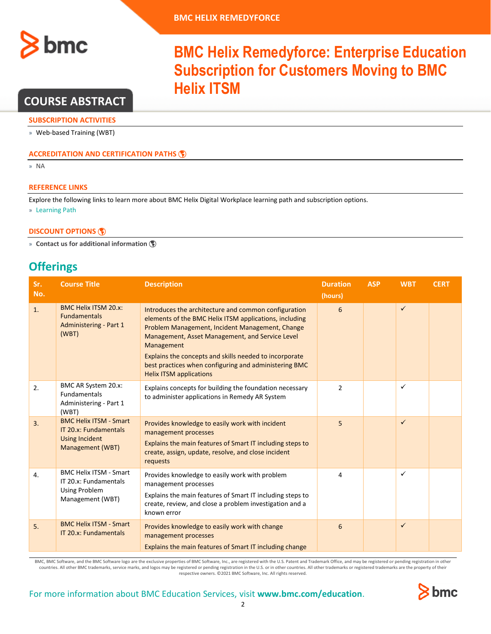

### **COURSE ABSTRACT**

#### **SUBSCRIPTION ACTIVITIES**

» Web-based Training (WBT)

#### **ACCREDITATION AN[D CERTIFICATION PATHS](http://www.bmc.com/education/certification-programs)**

» NA

#### **REFERENCE LINKS**

Explore the following links to learn more about BMC Helix Digital Workplace learning path and subscription options.

**Helix ITSM**

» [Learning Path](https://www.bmc.com/education/courses/find-courses.html?301=courses#filter/%7B%22products%22%3A%22education-products-161725919%22%2C%22type%22%3A%22edu-specific-types-188151987%22%7D)

#### **[DISCOUNT OPTIONS](http://www.bmc.com/education/customer-service/customer-service.html)**

» **[Contact us for additional information](http://www.bmc.com/education)** 

### **Offerings**

| Sr.<br>No. | <b>Course Title</b>                                                                                 | <b>Description</b>                                                                                                                                                                                                                                                                                                                                                                      | <b>Duration</b><br>(hours) | <b>ASP</b> | <b>WBT</b>   | <b>CERT</b> |
|------------|-----------------------------------------------------------------------------------------------------|-----------------------------------------------------------------------------------------------------------------------------------------------------------------------------------------------------------------------------------------------------------------------------------------------------------------------------------------------------------------------------------------|----------------------------|------------|--------------|-------------|
| 1.         | <b>BMC Helix ITSM 20.x:</b><br><b>Fundamentals</b><br>Administering - Part 1<br>(WBT)               | Introduces the architecture and common configuration<br>elements of the BMC Helix ITSM applications, including<br>Problem Management, Incident Management, Change<br>Management, Asset Management, and Service Level<br>Management<br>Explains the concepts and skills needed to incorporate<br>best practices when configuring and administering BMC<br><b>Helix ITSM applications</b> | 6                          |            | $\checkmark$ |             |
| 2.         | BMC AR System 20.x:<br><b>Fundamentals</b><br>Administering - Part 1<br>(WBT)                       | Explains concepts for building the foundation necessary<br>to administer applications in Remedy AR System                                                                                                                                                                                                                                                                               | $\overline{2}$             |            | $\checkmark$ |             |
| 3.         | <b>BMC Helix ITSM - Smart</b><br>IT 20.x: Fundamentals<br><b>Using Incident</b><br>Management (WBT) | Provides knowledge to easily work with incident<br>management processes<br>Explains the main features of Smart IT including steps to<br>create, assign, update, resolve, and close incident<br>requests                                                                                                                                                                                 | 5                          |            | $\checkmark$ |             |
| 4.         | <b>BMC Helix ITSM - Smart</b><br>IT 20.x: Fundamentals<br><b>Using Problem</b><br>Management (WBT)  | Provides knowledge to easily work with problem<br>management processes<br>Explains the main features of Smart IT including steps to<br>create, review, and close a problem investigation and a<br>known error                                                                                                                                                                           | 4                          |            | $\checkmark$ |             |
| 5.         | <b>BMC Helix ITSM - Smart</b><br>IT 20.x: Fundamentals                                              | Provides knowledge to easily work with change<br>management processes<br>Explains the main features of Smart IT including change                                                                                                                                                                                                                                                        | 6                          |            | $\checkmark$ |             |

BMC, BMC Software, and the BMC Software logo are the exclusive properties of BMC Software, Inc., are registered with the U.S. Patent and Trademark Office, and may be registered or pending registration in other countries. All other BMC trademarks, service marks, and logos may be registered or pending registration in the U.S. or in other countries. All other trademarks or registered trademarks are the property of their respective owners. ©2021 BMC Software, Inc. All rights reserved.

**BMC Helix Remedyforce: Enterprise Education** 

**Subscription for Customers Moving to BMC** 

#### For more information about BMC Education Services, visit **[www.bmc.com/education](http://www.bmc.com/education/)**. 2